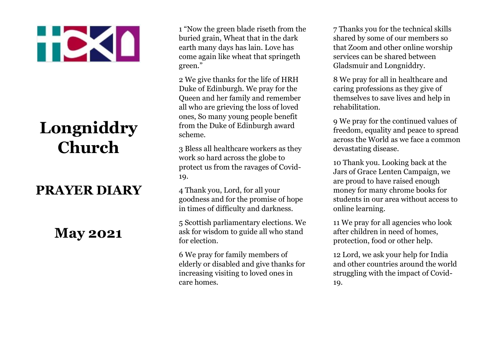## **TDKI**

## **Longniddry Church**

## **PRAYER DIARY**

## **May 2021**

1 "Now the green blade riseth from the buried grain, Wheat that in the dark earth many days has lain. Love has come again like wheat that springeth green."

2 We give thanks for the life of HRH Duke of Edinburgh. We pray for the Queen and her family and remember all who are grieving the loss of loved ones, So many young people benefit from the Duke of Edinburgh award scheme.

3 Bless all healthcare workers as they work so hard across the globe to protect us from the ravages of Covid-19.

4 Thank you, Lord, for all your goodness and for the promise of hope in times of difficulty and darkness.

5 Scottish parliamentary elections. We ask for wisdom to guide all who stand for election.

6 We pray for family members of elderly or disabled and give thanks for increasing visiting to loved ones in care homes.

7 Thanks you for the technical skills shared by some of our members so that Zoom and other online worship services can be shared between Gladsmuir and Longniddry.

8 We pray for all in healthcare and caring professions as they give of themselves to save lives and help in rehabilitation.

9 We pray for the continued values of freedom, equality and peace to spread across the World as we face a common devastating disease.

10 Thank you. Looking back at the Jars of Grace Lenten Campaign, we are proud to have raised enough money for many chrome books for students in our area without access to online learning.

11 We pray for all agencies who look after children in need of homes, protection, food or other help.

12 Lord, we ask your help for India and other countries around the world struggling with the impact of Covid-19.